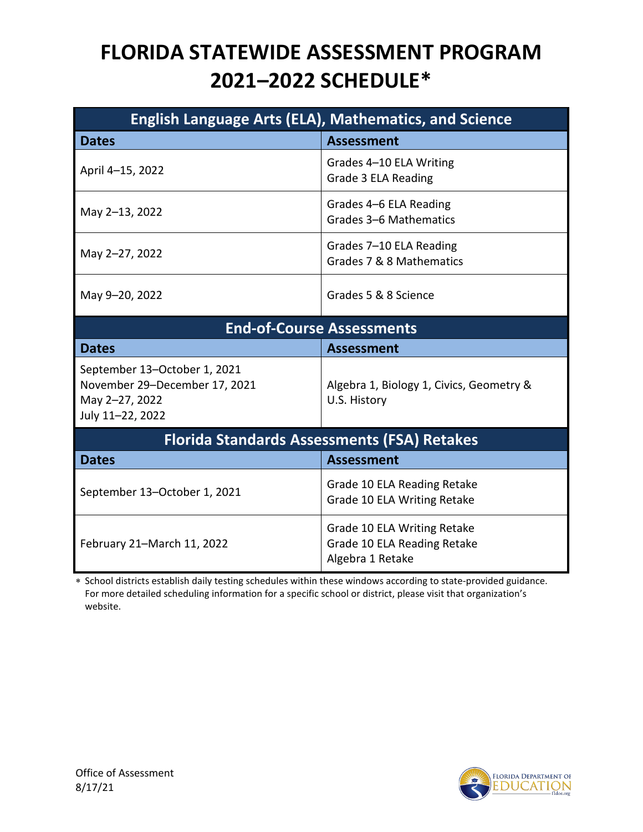## **FLORIDA STATEWIDE ASSESSMENT PROGRAM 2021–2022 SCHEDULE\***

| <b>English Language Arts (ELA), Mathematics, and Science</b>                                        |                                                                                |  |
|-----------------------------------------------------------------------------------------------------|--------------------------------------------------------------------------------|--|
| <b>Dates</b>                                                                                        | <b>Assessment</b>                                                              |  |
| April 4-15, 2022                                                                                    | Grades 4-10 ELA Writing<br>Grade 3 ELA Reading                                 |  |
| May 2-13, 2022                                                                                      | Grades 4-6 ELA Reading<br>Grades 3-6 Mathematics                               |  |
| May 2-27, 2022                                                                                      | Grades 7-10 ELA Reading<br>Grades 7 & 8 Mathematics                            |  |
| May 9-20, 2022                                                                                      | Grades 5 & 8 Science                                                           |  |
| <b>End-of-Course Assessments</b>                                                                    |                                                                                |  |
| <b>Dates</b>                                                                                        | <b>Assessment</b>                                                              |  |
| September 13-October 1, 2021<br>November 29-December 17, 2021<br>May 2-27, 2022<br>July 11-22, 2022 | Algebra 1, Biology 1, Civics, Geometry &<br>U.S. History                       |  |
| <b>Florida Standards Assessments (FSA) Retakes</b>                                                  |                                                                                |  |
| <b>Dates</b>                                                                                        | <b>Assessment</b>                                                              |  |
| September 13-October 1, 2021                                                                        | Grade 10 ELA Reading Retake<br>Grade 10 ELA Writing Retake                     |  |
| February 21-March 11, 2022                                                                          | Grade 10 ELA Writing Retake<br>Grade 10 ELA Reading Retake<br>Algebra 1 Retake |  |

∗ School districts establish daily testing schedules within these windows according to state-provided guidance. For more detailed scheduling information for a specific school or district, please visit that organization's website.